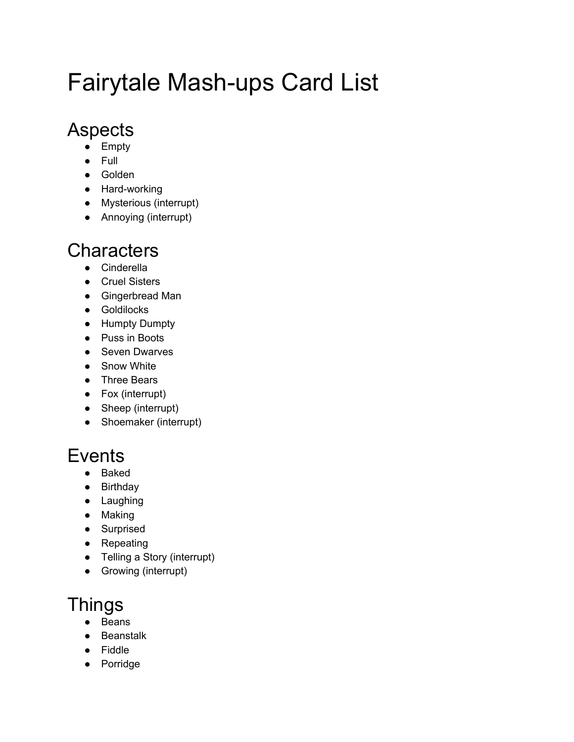# Fairytale Mash-ups Card List

## **Aspects**

- Empty
- Full
- Golden
- Hard-working
- Mysterious (interrupt)
- Annoying (interrupt)

## **Characters**

- Cinderella
- Cruel Sisters
- Gingerbread Man
- Goldilocks
- Humpty Dumpty
- Puss in Boots
- Seven Dwarves
- Snow White
- Three Bears
- Fox (interrupt)
- Sheep (interrupt)
- Shoemaker (interrupt)

# **Events**

- Baked
- Birthday
- Laughing
- Making
- Surprised
- Repeating
- Telling a Story (interrupt)
- Growing (interrupt)

# **Things**

- **Beans**
- Beanstalk
- Fiddle
- Porridge